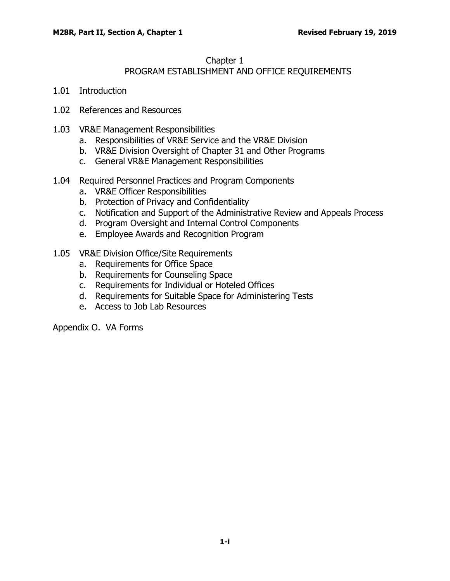#### <span id="page-0-0"></span>[Chapter](#page-0-0) 1

# PROGRAM [ESTABLISHMENT](#page-0-0) AND OFFICE REQUIREMENTS

- 1.01 [Introduction](#page-1-0)
- 1.02 [References](#page-1-1) and Resources
- 1.03 VR&E Management [Responsibilities](#page-1-2)
	- a. [Responsibilities](#page-1-3) of VR&E Service and the VR&E Division
	- b. VR&E Division [Oversight](#page-2-0) of Chapter 31 and Other Programs
	- c. General VR&E Management [Responsibilities](#page-3-0)
- 1.04 Required Personnel Practices and Program [Components](#page-4-0)
	- a. VR&E Officer [Responsibilities](#page-4-1)
	- b. Protection of Privacy and [Confidentiality](#page-5-0)
	- c. Notification and Support of the [Administrative](#page-6-0) Review and Appeals Process
	- d. Program Oversight and Internal Control [Components](#page-6-1)
	- e. Employee Awards and [Recognition](#page-6-2) Program
- 1.05 VR&E Division Office/Site [Requirements](#page-7-0)
	- a. [Requirements](#page-7-1) for Office Space
	- b. [Requirements](#page-7-2) for Counseling Space
	- c. [Requirements](#page-7-3) for Individual or Hoteled Offices
	- d. [Requirements](#page-7-4) for Suitable Space for Administering Tests
	- e. Access to Job Lab [Resources](#page-8-0)

Appendix O. VA Forms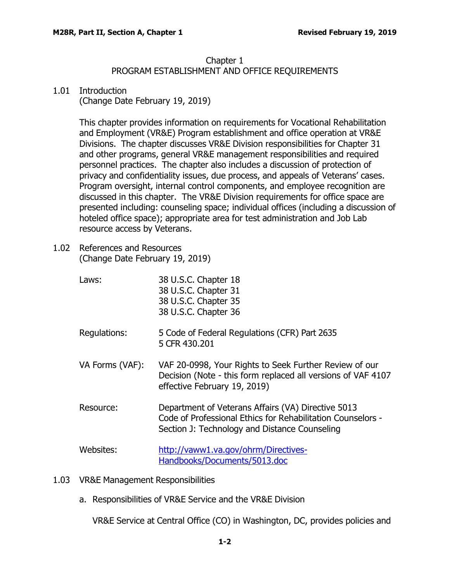## <span id="page-1-5"></span>Chapter 1

# PROGRAM ESTABLISHMENT AND OFFICE REQUIREMENTS

### <span id="page-1-4"></span>1.01 [Introduction](#page-1-4)

<span id="page-1-0"></span>(Change Date February 19, 2019)

This chapter provides information on requirements for Vocational Rehabilitation and Employment (VR&E) Program establishment and office operation at VR&E Divisions. The chapter discusses VR&E Division responsibilities for Chapter 31 and other programs, general VR&E management responsibilities and required personnel practices. The chapter also includes a discussion of protection of privacy and confidentiality issues, due process, and appeals of Veterans' cases. Program oversight, internal control components, and employee recognition are discussed in this chapter. The VR&E Division requirements for office space are presented including: counseling space; individual offices (including a discussion of hoteled office space); appropriate area for test administration and Job Lab resource access by Veterans.

- <span id="page-1-1"></span>1.02 [References](#page-1-5) and Resources (Change Date February 19, 2019)
	- Laws: 38 U.S.C. Chapter 18 38 U.S.C. Chapter 31 38 U.S.C. Chapter 35 38 U.S.C. Chapter 36 Regulations: 5 Code of Federal Regulations (CFR) Part 2635 5 CFR 430.201 VA Forms (VAF): VAF 20-0998, Your Rights to Seek Further Review of our Decision (Note - this form replaced all versions of VAF 4107 effective February 19, 2019)
	- Resource: Department of Veterans Affairs (VA) Directive 5013 Code of Professional Ethics for Rehabilitation Counselors - Section J: Technology and Distance Counseling

<span id="page-1-6"></span><span id="page-1-2"></span>Websites: [http://vaww1.va.gov/ohrm/Directives-](http://vaww1.va.gov/ohrm/Directives-Handbooks/Documents/5013.doc)[Handbooks/Documents/5013.doc](http://vaww1.va.gov/ohrm/Directives-Handbooks/Documents/5013.doc)

- 1.03 VR&E Management [Responsibilities](#page-1-6)
	- a. [Responsibilities](#page-1-2) of VR&E Service and the VR&E Division

<span id="page-1-3"></span>VR&E Service at Central Office (CO) in Washington, DC, provides policies and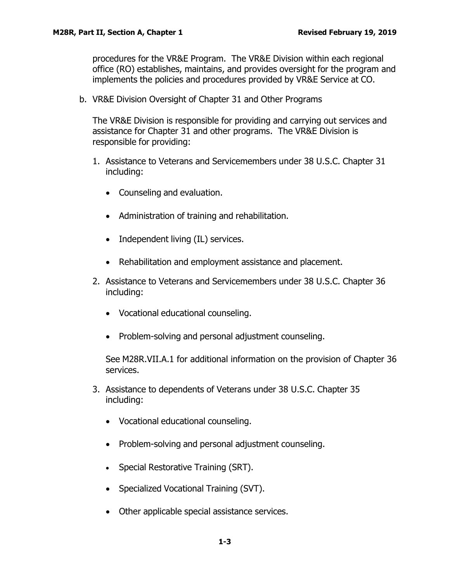<span id="page-2-1"></span>procedures for the VR&E Program. The VR&E Division within each regional office (RO) establishes, maintains, and provides oversight for the program and implements the policies and procedures provided by VR&E Service at CO.

<span id="page-2-0"></span>b. VR&E Division [Oversight](#page-2-1) of Chapter 31 and Other Programs

The VR&E Division is responsible for providing and carrying out services and assistance for Chapter 31 and other programs. The VR&E Division is responsible for providing:

- 1. Assistance to Veterans and Servicemembers under 38 U.S.C. Chapter 31 including:
	- Counseling and evaluation.
	- Administration of training and rehabilitation.
	- Independent living (IL) services.
	- Rehabilitation and employment assistance and placement.
- 2. Assistance to Veterans and Servicemembers under 38 U.S.C. Chapter 36 including:
	- Vocational educational counseling.
	- Problem-solving and personal adjustment counseling.

See M28R.VII.A.1 for additional information on the provision of Chapter 36 services.

- 3. Assistance to dependents of Veterans under 38 U.S.C. Chapter 35 including:
	- Vocational educational counseling.
	- Problem-solving and personal adjustment counseling.
	- Special Restorative Training (SRT).
	- Specialized Vocational Training (SVT).
	- Other applicable special assistance services.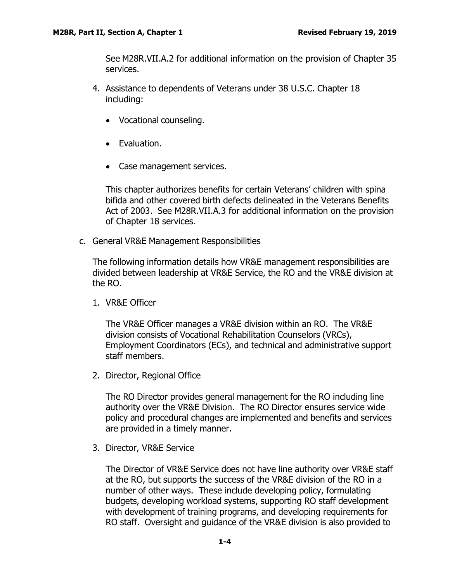See M28R.VII.A.2 for additional information on the provision of Chapter 35 services.

- 4. Assistance to dependents of Veterans under 38 U.S.C. Chapter 18 including:
	- Vocational counseling.
	- Evaluation.
	- Case management services.

This chapter authorizes benefits for certain Veterans' children with spina bifida and other covered birth defects delineated in the Veterans Benefits Act of 2003. See M28R.VII.A.3 for additional information on the provision of Chapter 18 services.

<span id="page-3-0"></span>c. General VR&E Management Responsibilities

The following information details how VR&E management responsibilities are divided between leadership at VR&E Service, the RO and the VR&E division at the RO.

1. VR&E Officer

The VR&E Officer manages a VR&E division within an RO. The VR&E division consists of Vocational Rehabilitation Counselors (VRCs), Employment Coordinators (ECs), and technical and administrative support staff members.

2. Director, Regional Office

The RO Director provides general management for the RO including line authority over the VR&E Division. The RO Director ensures service wide policy and procedural changes are implemented and benefits and services are provided in a timely manner.

3. Director, VR&E Service

The Director of VR&E Service does not have line authority over VR&E staff at the RO, but supports the success of the VR&E division of the RO in a number of other ways. These include developing policy, formulating budgets, developing workload systems, supporting RO staff development with development of training programs, and developing requirements for RO staff. Oversight and guidance of the VR&E division is also provided to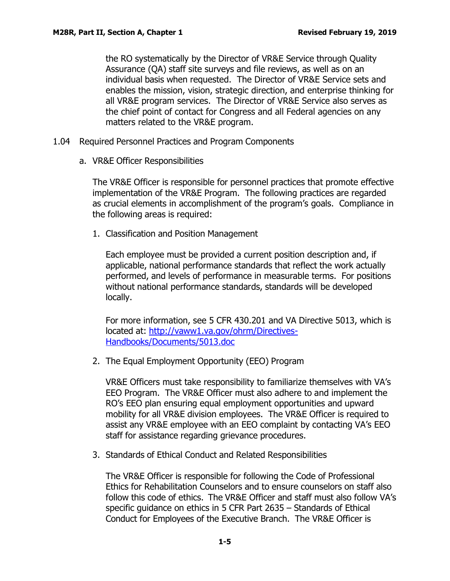the RO systematically by the Director of VR&E Service through Quality Assurance (QA) staff site surveys and file reviews, as well as on an individual basis when requested. The Director of VR&E Service sets and enables the mission, vision, strategic direction, and enterprise thinking for all VR&E program services. The Director of VR&E Service also serves as the chief point of contact for Congress and all Federal agencies on any matters related to the VR&E program.

- <span id="page-4-0"></span>1.04 Required Personnel Practices and Program Components
	- a. VR&E Officer [Responsibilities](#page-4-0)

<span id="page-4-1"></span>The VR&E Officer is [responsi](#page-4-1)ble for personnel practices that promote effective implementation of the VR&E Program. The following practices are regarded as crucial elements in accomplishment of the program's goals. Compliance in the following areas is required:

1. Classification and Position Management

Each employee must be provided a current position description and, if applicable, national performance standards that reflect the work actually performed, and levels of performance in measurable terms. For positions without national performance standards, standards will be developed locally.

For more information, see 5 CFR 430.201 and VA Directive 5013, which is located at: [http://vaww1.va.gov/ohrm/Directives-](http://vaww1.va.gov/ohrm/Directives-Handbooks/Documents/5013.doc)[Handbooks/Documents/5013.doc](http://vaww1.va.gov/ohrm/Directives-Handbooks/Documents/5013.doc)

2. The Equal Employment Opportunity (EEO) Program

VR&E Officers must take responsibility to familiarize themselves with VA's EEO Program. The VR&E Officer must also adhere to and implement the RO's EEO plan ensuring equal employment opportunities and upward mobility for all VR&E division employees. The VR&E Officer is required to assist any VR&E employee with an EEO complaint by contacting VA's EEO staff for assistance regarding grievance procedures.

3. Standards of Ethical Conduct and Related Responsibilities

The VR&E Officer is responsible for following the Code of [Professional](http://www.crccertification.com/pdf/code_ethics_2002.pdf) Ethics for Rehabilitation Counselors and to ensure counselors on staff also follow this code of ethics. The VR&E Officer and staff must also follow VA's specific guidance on ethics in 5 CFR Part 2635 – Standards of Ethical Conduct for Employees of the Executive Branch. The VR&E Officer is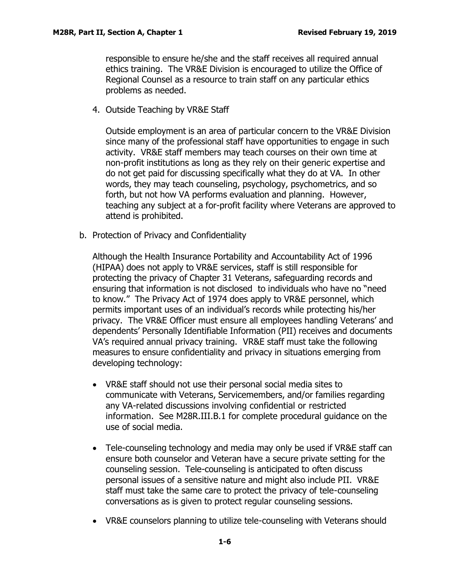responsible to ensure he/she and the staff receives all required annual ethics training. The VR&E Division is encouraged to utilize the Office of Regional Counsel as a resource to train staff on any particular ethics problems as needed.

4. Outside Teaching by VR&E Staff

Outside employment is an area of particular concern to the VR&E Division since many of the professional staff have opportunities to engage in such activity. VR&E staff members may teach courses on their own time at non-profit institutions as long as they rely on their generic expertise and do not get paid for discussing specifically what they do at VA. In other words, they may teach counseling, psychology, psychometrics, and so forth, but not how VA performs evaluation and planning. However, teaching any subject at a for-profit facility where Veterans are approved to attend is prohibited.

<span id="page-5-0"></span>b. Protection of Privacy and Confidentiality

Although the Health Insurance Portability and Accountability Act of 1996 [\(HIPAA\)](#page-5-0) does not apply to VR&E services, staff is still responsible for protecting the privacy of Chapter 31 Veterans, safeguarding records and ensuring that information is not disclosed to individuals who have no "need to know." The Privacy Act of 1974 does apply to VR&E personnel, which permits important uses of an individual's records while protecting his/her privacy. The VR&E Officer must ensure all employees handling Veterans' and dependents' Personally Identifiable Information (PII) receives and documents VA's required annual privacy training. VR&E staff must take the following measures to ensure confidentiality and privacy in situations emerging from developing technology:

- VR&E staff should not use their personal social media sites to communicate with Veterans, Servicemembers, and/or families regarding any VA-related discussions involving confidential or restricted information. See M28R.III.B.1 for complete procedural guidance on the use of social media.
- Tele-counseling technology and media may only be used if VR&E staff can ensure both counselor and Veteran have a secure private setting for the counseling session. Tele-counseling is anticipated to often discuss personal issues of a sensitive nature and might also include PII. VR&E staff must take the same care to protect the privacy of tele-counseling conversations as is given to protect regular counseling sessions.
- VR&E counselors planning to utilize tele-counseling with Veterans should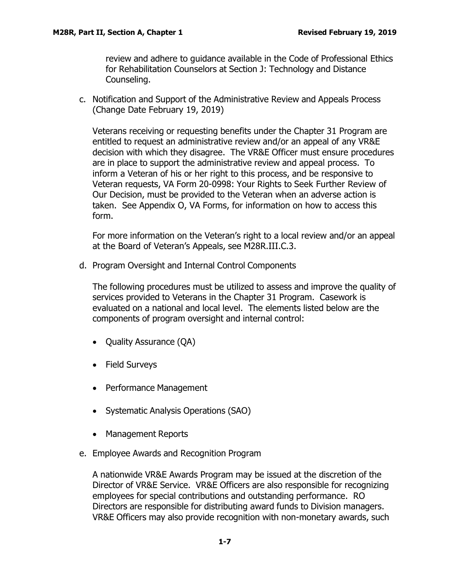review and adhere to guidance available in the Code of Professional Ethics for Rehabilitation Counselors at Section J: Technology and Distance Counseling.

<span id="page-6-0"></span>c. Notification and Support of the Administrative Review and Appeals Process (Change Date February 19, 2019)

Veterans receiving or requesting benefits under the Chapter 31 Program are entitled to request an [administrative](#page-6-0) review and/or an appeal of any VR&E decision with which they disagree. The VR&E Officer must ensure procedures are in place to support the administrative review and appeal process. To inform a Veteran of his or her right to this process, and be responsive to Veteran requests, VA Form 20-0998: Your Rights to Seek Further Review of Our Decision, must be provided to the Veteran when an adverse action is taken. See Appendix O, VA Forms, for information on how to access this form.

For more information on the Veteran's right to a local review and/or an appeal at the Board of Veteran's Appeals, see M28R.III.C.3.

<span id="page-6-1"></span>d. Program Oversight and Internal Control Components

The following procedures must be utilized to assess and improve the quality [of](#page-6-1) services provided to [Veterans](#page-6-1) in the Chapter 31 Program. Casework is evaluated on a national and local level. The elements listed below are the components of program oversight and internal control:

- Quality Assurance (QA)
- Field Surveys
- Performance Management
- Systematic Analysis Operations (SAO)
- Management Reports
- <span id="page-6-2"></span>e. Employee Awards and Recognition Program

A nationwide VR&E Awards Program may be issued at the discretion of th[e](#page-6-2) [Director](#page-6-2) of VR&E Service. VR&E Officers are also responsible for recognizing employees for special contributions and outstanding performance. RO Directors are responsible for distributing award funds to Division managers. VR&E Officers may also provide recognition with non-monetary awards, such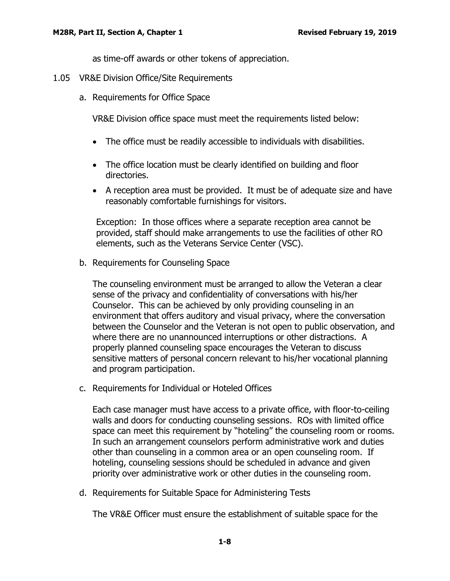as time-off awards or other tokens of appreciation.

- <span id="page-7-1"></span><span id="page-7-0"></span>1.05 VR&E Division Office/Site Requirements
	- a. Requirements for Office Space

VR&E Division office space must meet the requirements listed below:

- The office must be readily accessible to individuals with disabilities.
- The office location must be clearly identified on building and floor directories.
- A reception area must be provided. It must be of adequate size and have reasonably comfortable furnishings for visitors.

Exception: In those offices where a separate reception area cannot be provided, staff should make arrangements to use the facilities of other RO elements, such as the Veterans Service Center (VSC).

<span id="page-7-2"></span>b. Requirements for Counseling Space

The counseling environment must be arranged to allow the Veteran a clea[r](#page-7-2) sense of the privacy and [confidential](#page-7-2)ity of conversations with his/her Counselor. This can be achieved by only providing counseling in an environment that offers auditory and visual privacy, where the conversation between the Counselor and the Veteran is not open to public observation, and where there are no unannounced interruptions or other distractions. A properly planned counseling space encourages the Veteran to discuss sensitive matters of personal concern relevant to his/her vocational planning and program participation.

<span id="page-7-5"></span><span id="page-7-3"></span>c. Requirements for Individual or Hoteled Offices

Each case manager must have access to a private office, with floor-to-ceiling walls and doors for [conducting](#page-7-5) counseling sessions. ROs with limited office space can meet this requirement by "hoteling" the counseling room or rooms. In such an arrangement counselors perform administrative work and duties other than counseling in a common area or an open counseling room. If hoteling, counseling sessions should be scheduled in advance and given priority over administrative work or other duties in the counseling room.

<span id="page-7-6"></span><span id="page-7-4"></span>d. Requirements for Suitable Space for Administering Tests

The VR&E Officer must ensure the establishment of suitable space for th[e](#page-7-6)